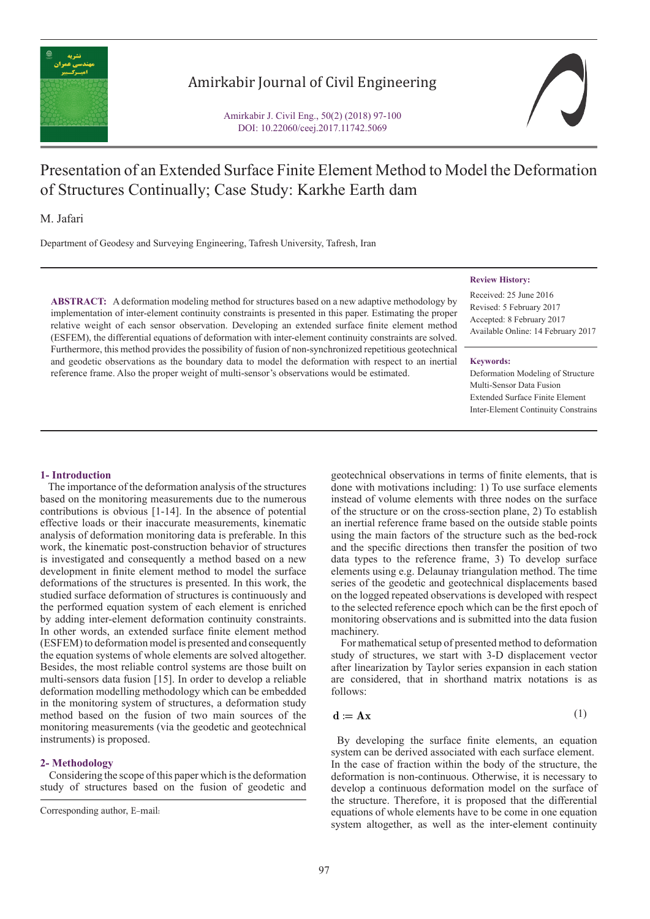

## Amirkabir Journal of Civil Engineering

Amirkabir J. Civil Eng., 50(2) (2018) 97-100 DOI: 10.22060/ceej.2017.11742.5069



# Presentation of an Extended Surface Finite Element Method to Model the Deformation of Structures Continually; Case Study: Karkhe Earth dam

M. Jafari

Department of Geodesy and Surveying Engineering, Tafresh University, Tafresh, Iran

**ABSTRACT:** A deformation modeling method for structures based on a new adaptive methodology by implementation of inter-element continuity constraints is presented in this paper. Estimating the proper relative weight of each sensor observation. Developing an extended surface finite element method (ESFEM), the differential equations of deformation with inter-element continuity constraints are solved. Furthermore, this method provides the possibility of fusion of non-synchronized repetitious geotechnical and geodetic observations as the boundary data to model the deformation with respect to an inertial reference frame. Also the proper weight of multi-sensor's observations would be estimated.

## **Review History:**

Received: 25 June 2016 Revised: 5 February 2017 Accepted: 8 February 2017 Available Online: 14 February 2017

#### **Keywords:**

Deformation Modeling of Structure Multi-Sensor Data Fusion Extended Surface Finite Element Inter-Element Continuity Constrains

## **1- Introduction**

 The importance of the deformation analysis of the structures based on the monitoring measurements due to the numerous contributions is obvious [1-14]. In the absence of potential effective loads or their inaccurate measurements, kinematic analysis of deformation monitoring data is preferable. In this work, the kinematic post-construction behavior of structures is investigated and consequently a method based on a new development in finite element method to model the surface deformations of the structures is presented. In this work, the studied surface deformation of structures is continuously and the performed equation system of each element is enriched by adding inter-element deformation continuity constraints. In other words, an extended surface finite element method (ESFEM) to deformation model is presented and consequently the equation systems of whole elements are solved altogether. Besides, the most reliable control systems are those built on multi-sensors data fusion [15]. In order to develop a reliable deformation modelling methodology which can be embedded in the monitoring system of structures, a deformation study method based on the fusion of two main sources of the monitoring measurements (via the geodetic and geotechnical instruments) is proposed.

## **2- Methodology**

 Considering the scope of this paper which is the deformation study of structures based on the fusion of geodetic and geotechnical observations in terms of finite elements, that is done with motivations including: 1) To use surface elements instead of volume elements with three nodes on the surface of the structure or on the cross-section plane, 2) To establish an inertial reference frame based on the outside stable points using the main factors of the structure such as the bed-rock and the specific directions then transfer the position of two data types to the reference frame, 3) To develop surface elements using e.g. Delaunay triangulation method. The time series of the geodetic and geotechnical displacements based on the logged repeated observations is developed with respect to the selected reference epoch which can be the first epoch of monitoring observations and is submitted into the data fusion machinery.

 For mathematical setup of presented method to deformation study of structures, we start with 3-D displacement vector after linearization by Taylor series expansion in each station are considered, that in shorthand matrix notations is as follows:

$$
\mathbf{d} := \mathbf{A}\mathbf{x} \tag{1}
$$

 By developing the surface finite elements, an equation system can be derived associated with each surface element. In the case of fraction within the body of the structure, the deformation is non-continuous. Otherwise, it is necessary to develop a continuous deformation model on the surface of the structure. Therefore, it is proposed that the differential equations of whole elements have to be come in one equation system altogether, as well as the inter-element continuity

Corresponding author, E-mail: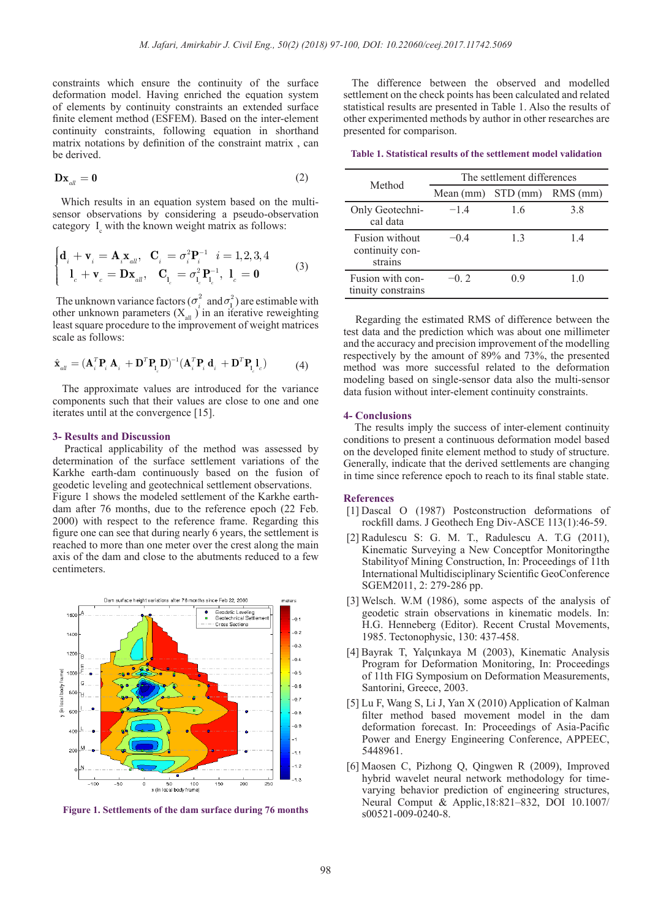constraints which ensure the continuity of the surface deformation model. Having enriched the equation system of elements by continuity constraints an extended surface finite element method (ESFEM). Based on the inter-element continuity constraints, following equation in shorthand matrix notations by definition of the constraint matrix , can be derived.

$$
\mathbf{D}\mathbf{x}_{all} = \mathbf{0} \tag{2}
$$

 Which results in an equation system based on the multisensor observations by considering a pseudo-observation category  $I_c$  with the known weight matrix as follows:

$$
\begin{cases} \mathbf{d}_{i} + \mathbf{v}_{i} = \mathbf{A}_{i} \mathbf{x}_{all}, & \mathbf{C}_{i} = \sigma_{i}^{2} \mathbf{P}_{i}^{-1} \quad i = 1, 2, 3, 4 \\ \mathbf{1}_{c} + \mathbf{v}_{c} = \mathbf{D} \mathbf{x}_{all}, & \mathbf{C}_{\mathbf{l}_{c}} = \sigma_{\mathbf{l}_{c}}^{2} \mathbf{P}_{\mathbf{l}_{c}}^{-1}, & \mathbf{1}_{c} = \mathbf{0} \end{cases}
$$
(3)

The unknown variance factors  $(\sigma_i^2 \text{ and } \sigma_i^2)$  are estimable with other unknown parameters  $(X_{all})$  in an iterative reweighting least square procedure to the improvement of weight matrices scale as follows:

$$
\hat{\mathbf{x}}_{all} = (\mathbf{A}_i^T \mathbf{P}_i \mathbf{A}_i + \mathbf{D}^T \mathbf{P}_{\mathbf{l}_c} \mathbf{D})^{-1} (\mathbf{A}_i^T \mathbf{P}_i \mathbf{d}_i + \mathbf{D}^T \mathbf{P}_{\mathbf{l}_c} \mathbf{l}_c) \tag{4}
$$

 The approximate values are introduced for the variance components such that their values are close to one and one iterates until at the convergence [15].

## **3- Results and Discussion**

 Practical applicability of the method was assessed by determination of the surface settlement variations of the Karkhe earth-dam continuously based on the fusion of geodetic leveling and geotechnical settlement observations. Figure 1 shows the modeled settlement of the Karkhe earthdam after 76 months, due to the reference epoch (22 Feb. 2000) with respect to the reference frame. Regarding this figure one can see that during nearly 6 years, the settlement is reached to more than one meter over the crest along the main axis of the dam and close to the abutments reduced to a few centimeters.



**Figure 1. Settlements of the dam surface during 76 months**

 The difference between the observed and modelled settlement on the check points has been calculated and related statistical results are presented in Table 1. Also the results of other experimented methods by author in other researches are presented for comparison.

**Table 1. Statistical results of the settlement model validation**

| Method                                       | The settlement differences |    |            |
|----------------------------------------------|----------------------------|----|------------|
|                                              | Mean (mm) STD (mm)         |    | $RMS$ (mm) |
| Only Geotechni-<br>cal data                  | $-14$                      | 16 | 3.8        |
| Fusion without<br>continuity con-<br>strains | $-0.4$                     | 13 | 14         |
| Fusion with con-<br>tinuity constrains       | $-0.2$                     | 09 | 1.0        |

 Regarding the estimated RMS of difference between the test data and the prediction which was about one millimeter and the accuracy and precision improvement of the modelling respectively by the amount of 89% and 73%, the presented method was more successful related to the deformation modeling based on single-sensor data also the multi-sensor data fusion without inter-element continuity constraints.

### **4- Conclusions**

 The results imply the success of inter-element continuity conditions to present a continuous deformation model based on the developed finite element method to study of structure. Generally, indicate that the derived settlements are changing in time since reference epoch to reach to its final stable state.

#### **References**

- [1] Dascal O (1987) Postconstruction deformations of rockfill dams. J Geothech Eng Div-ASCE 113(1):46-59.
- [2] Radulescu S: G. M. T., Radulescu A. T.G (2011), Kinematic Surveying a New Conceptfor Monitoringthe Stabilityof Mining Construction, In: Proceedings of 11th International Multidisciplinary Scientific GeoConference SGEM2011, 2: 279-286 pp.
- [3] Welsch. W.M (1986), some aspects of the analysis of geodetic strain observations in kinematic models. In: H.G. Henneberg (Editor). Recent Crustal Movements, 1985. Tectonophysic, 130: 437-458.
- [4] Bayrak T, Yalçιnkaya M (2003), Kinematic Analysis Program for Deformation Monitoring, In: Proceedings of 11th FIG Symposium on Deformation Measurements, Santorini, Greece, 2003.
- [5] Lu F, Wang S, Li J, Yan X (2010) Application of Kalman filter method based movement model in the dam deformation forecast. In: Proceedings of Asia-Pacific Power and Energy Engineering Conference, APPEEC, 5448961.
- [6] Maosen C, Pizhong Q, Qingwen R (2009), Improved hybrid wavelet neural network methodology for timevarying behavior prediction of engineering structures, Neural Comput & Applic,18:821–832, DOI 10.1007/ s00521-009-0240-8.